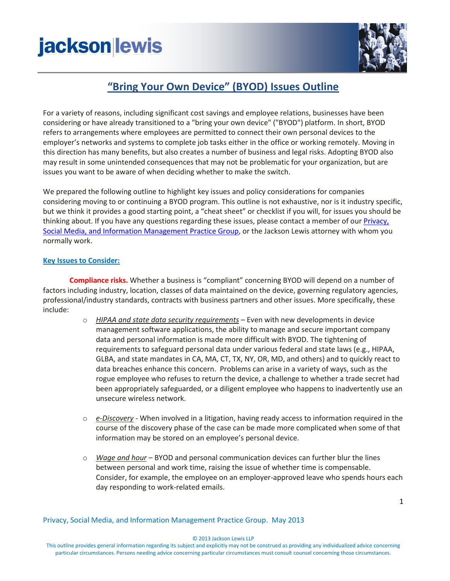## **jackson lewis**



### **"Bring Your Own Device" (BYOD) Issues Outline**

For a variety of reasons, including significant cost savings and employee relations, businesses have been considering or have already transitioned to a "bring your own device" ("BYOD") platform. In short, BYOD refers to arrangements where employees are permitted to connect their own personal devices to the employer's networks and systems to complete job tasks either in the office or working remotely. Moving in this direction has many benefits, but also creates a number of business and legal risks. Adopting BYOD also may result in some unintended consequences that may not be problematic for your organization, but are issues you want to be aware of when deciding whether to make the switch.

We prepared the following outline to highlight key issues and policy considerations for companies considering moving to or continuing a BYOD program. This outline is not exhaustive, nor is it industry specific, but we think it provides a good starting point, a "cheat sheet" or checklist if you will, for issues you should be thinking about. If you have any questions regarding these issues, please contact a member of our Privacy, Social Media, [and Information Management Practice Group,](http://www.jacksonlewis.com/practices.php?PracticeID=64) or the Jackson Lewis attorney with whom you normally work.

#### **Key Issues to Consider:**

**Compliance risks.** Whether a business is "compliant" concerning BYOD will depend on a number of factors including industry, location, classes of data maintained on the device, governing regulatory agencies, professional/industry standards, contracts with business partners and other issues. More specifically, these include:

- o *HIPAA and state data security requirements* Even with new developments in device management software applications, the ability to manage and secure important company data and personal information is made more difficult with BYOD. The tightening of requirements to safeguard personal data under various federal and state laws (e.g., HIPAA, GLBA, and state mandates in CA, MA, CT, TX, NY, OR, MD, and others) and to quickly react to data breaches enhance this concern. Problems can arise in a variety of ways, such as the rogue employee who refuses to return the device, a challenge to whether a trade secret had been appropriately safeguarded, or a diligent employee who happens to inadvertently use an unsecure wireless network.
- o *e-Discovery* When involved in a litigation, having ready access to information required in the course of the discovery phase of the case can be made more complicated when some of that information may be stored on an employee's personal device.
- o *Wage and hour –* BYOD and personal communication devices can further blur the lines between personal and work time, raising the issue of whether time is compensable. Consider, for example, the employee on an employer-approved leave who spends hours each day responding to work-related emails.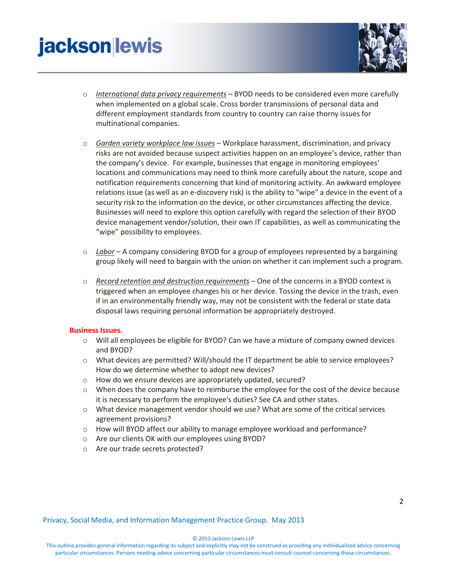# **jacksonlewis**



- o *International data privacy requirements* BYOD needs to be considered even more carefully when implemented on a global scale. Cross border transmissions of personal data and different employment standards from country to country can raise thorny issues for multinational companies.
- o *Garden variety workplace law issues* Workplace harassment, discrimination, and privacy risks are not avoided because suspect activities happen on an employee's device, rather than the company's device. For example, businesses that engage in monitoring employees' locations and communications may need to think more carefully about the nature, scope and notification requirements concerning that kind of monitoring activity. An awkward employee relations issue (as well as an e-discovery risk) is the ability to "wipe" a device in the event of a security risk to the information on the device, or other circumstances affecting the device. Businesses will need to explore this option carefully with regard the selection of their BYOD device management vendor/solution, their own IT capabilities, as well as communicating the "wipe" possibility to employees.
- o *Labor –* A company considering BYOD for a group of employees represented by a bargaining group likely will need to bargain with the union on whether it can implement such a program.
- o *Record retention and destruction requirements* One of the concerns in a BYOD context is triggered when an employee changes his or her device. Tossing the device in the trash, even if in an environmentally friendly way, may not be consistent with the federal or state data disposal laws requiring personal information be appropriately destroyed.

#### **Business Issues.**

- $\circ$  Will all employees be eligible for BYOD? Can we have a mixture of company owned devices and BYOD?
- o What devices are permitted? Will/should the IT department be able to service employees? How do we determine whether to adopt new devices?
- o How do we ensure devices are appropriately updated, secured?
- o When does the company have to reimburse the employee for the cost of the device because it is necessary to perform the employee's duties? See CA and other states.
- o What device management vendor should we use? What are some of the critical services agreement provisions?
- o How will BYOD affect our ability to manage employee workload and performance?
- o Are our clients OK with our employees using BYOD?
- o Are our trade secrets protected?

Privacy, Social Media, and Information Management Practice Group. May 2013

© 2013 Jackson Lewis LLP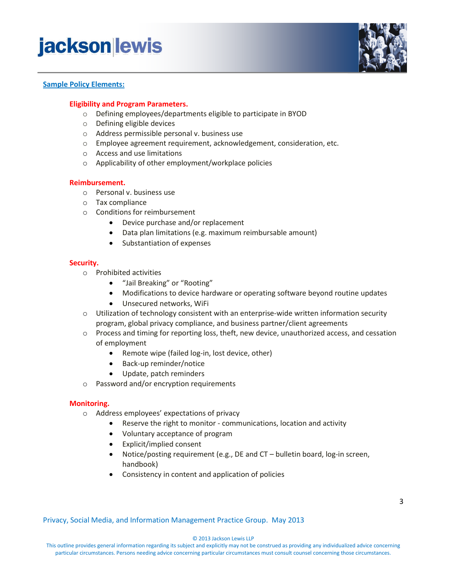### **jacksonlewis**



#### **Sample Policy Elements:**

#### **Eligibility and Program Parameters.**

- o Defining employees/departments eligible to participate in BYOD
- o Defining eligible devices
- o Address permissible personal v. business use
- o Employee agreement requirement, acknowledgement, consideration, etc.
- o Access and use limitations
- o Applicability of other employment/workplace policies

#### **Reimbursement.**

- o Personal v. business use
- o Tax compliance
- o Conditions for reimbursement
	- Device purchase and/or replacement
	- Data plan limitations (e.g. maximum reimbursable amount)
	- Substantiation of expenses

#### **Security.**

- o Prohibited activities
	- "Jail Breaking" or "Rooting"
	- Modifications to device hardware or operating software beyond routine updates
	- Unsecured networks, WiFi
- o Utilization of technology consistent with an enterprise-wide written information security program, global privacy compliance, and business partner/client agreements
- o Process and timing for reporting loss, theft, new device, unauthorized access, and cessation of employment
	- Remote wipe (failed log-in, lost device, other)
	- Back-up reminder/notice
	- Update, patch reminders
- o Password and/or encryption requirements

#### **Monitoring.**

- o Address employees' expectations of privacy
	- Reserve the right to monitor communications, location and activity
	- Voluntary acceptance of program
	- Explicit/implied consent
	- Notice/posting requirement (e.g., DE and CT bulletin board, log-in screen, handbook)
	- Consistency in content and application of policies

Privacy, Social Media, and Information Management Practice Group. May 2013

© 2013 Jackson Lewis LLP

This outline provides general information regarding its subject and explicitly may not be construed as providing any individualized advice concerning particular circumstances. Persons needing advice concerning particular circumstances must consult counsel concerning those circumstances.